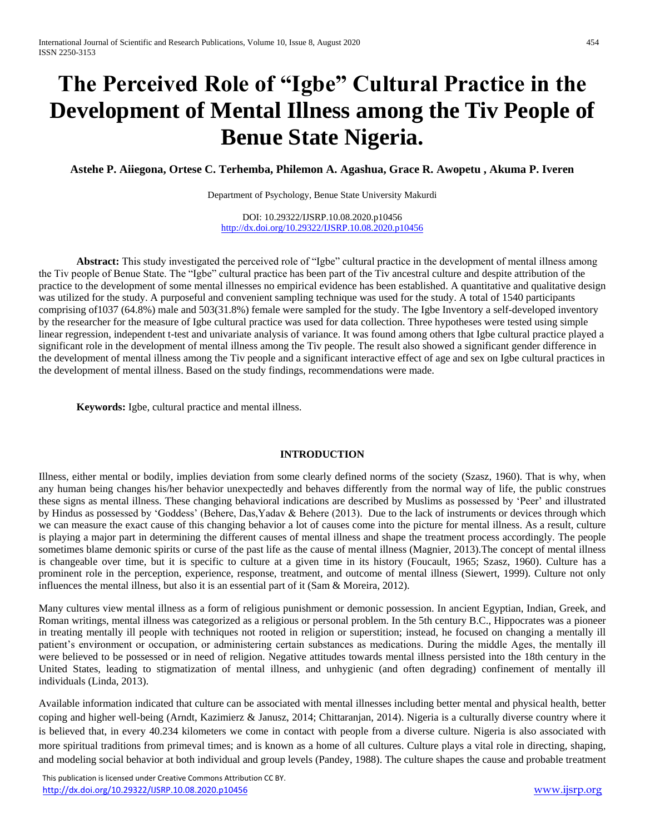# **The Perceived Role of "Igbe" Cultural Practice in the Development of Mental Illness among the Tiv People of Benue State Nigeria.**

**Astehe P. Aiiegona, Ortese C. Terhemba, Philemon A. Agashua, Grace R. Awopetu , Akuma P. Iveren**

Department of Psychology, Benue State University Makurdi

DOI: 10.29322/IJSRP.10.08.2020.p10456 <http://dx.doi.org/10.29322/IJSRP.10.08.2020.p10456>

**Abstract:** This study investigated the perceived role of "Igbe" cultural practice in the development of mental illness among the Tiv people of Benue State. The "Igbe" cultural practice has been part of the Tiv ancestral culture and despite attribution of the practice to the development of some mental illnesses no empirical evidence has been established. A quantitative and qualitative design was utilized for the study. A purposeful and convenient sampling technique was used for the study. A total of 1540 participants comprising of1037 (64.8%) male and 503(31.8%) female were sampled for the study. The Igbe Inventory a self-developed inventory by the researcher for the measure of Igbe cultural practice was used for data collection. Three hypotheses were tested using simple linear regression, independent t-test and univariate analysis of variance. It was found among others that Igbe cultural practice played a significant role in the development of mental illness among the Tiv people. The result also showed a significant gender difference in the development of mental illness among the Tiv people and a significant interactive effect of age and sex on Igbe cultural practices in the development of mental illness. Based on the study findings, recommendations were made.

**Keywords:** Igbe, cultural practice and mental illness.

#### **INTRODUCTION**

Illness, either mental or bodily, implies deviation from some clearly defined norms of the society (Szasz, 1960). That is why, when any human being changes his/her behavior unexpectedly and behaves differently from the normal way of life, the public construes these signs as mental illness. These changing behavioral indications are described by Muslims as possessed by 'Peer' and illustrated by Hindus as possessed by 'Goddess' (Behere, Das,Yadav & Behere (2013). Due to the lack of instruments or devices through which we can measure the exact cause of this changing behavior a lot of causes come into the picture for mental illness. As a result, culture is playing a major part in determining the different causes of mental illness and shape the treatment process accordingly. The people sometimes blame demonic spirits or curse of the past life as the cause of mental illness (Magnier, 2013).The concept of mental illness is changeable over time, but it is specific to culture at a given time in its history (Foucault, 1965; Szasz, 1960). Culture has a prominent role in the perception, experience, response, treatment, and outcome of mental illness (Siewert, 1999). Culture not only influences the mental illness, but also it is an essential part of it (Sam & Moreira, 2012).

Many cultures view mental illness as a form of religious punishment or demonic possession. In ancient Egyptian, Indian, Greek, and Roman writings, mental illness was categorized as a religious or personal problem. In the 5th century B.C., Hippocrates was a pioneer in treating mentally ill people with techniques not rooted in religion or superstition; instead, he focused on changing a mentally ill patient's environment or occupation, or administering certain substances as medications. During the middle Ages, the mentally ill were believed to be possessed or in need of religion. Negative attitudes towards mental illness persisted into the 18th century in the United States, leading to stigmatization of mental illness, and unhygienic (and often degrading) confinement of mentally ill individuals (Linda, 2013).

Available information indicated that culture can be associated with mental illnesses including better mental and physical health, better coping and higher well-being (Arndt, Kazimierz & Janusz, 2014; Chittaranjan, 2014). Nigeria is a culturally diverse country where it is believed that, in every 40.234 kilometers we come in contact with people from a diverse culture. Nigeria is also associated with more spiritual traditions from primeval times; and is known as a home of all cultures. Culture plays a vital role in directing, shaping, and modeling social behavior at both individual and group levels (Pandey, 1988). The culture shapes the cause and probable treatment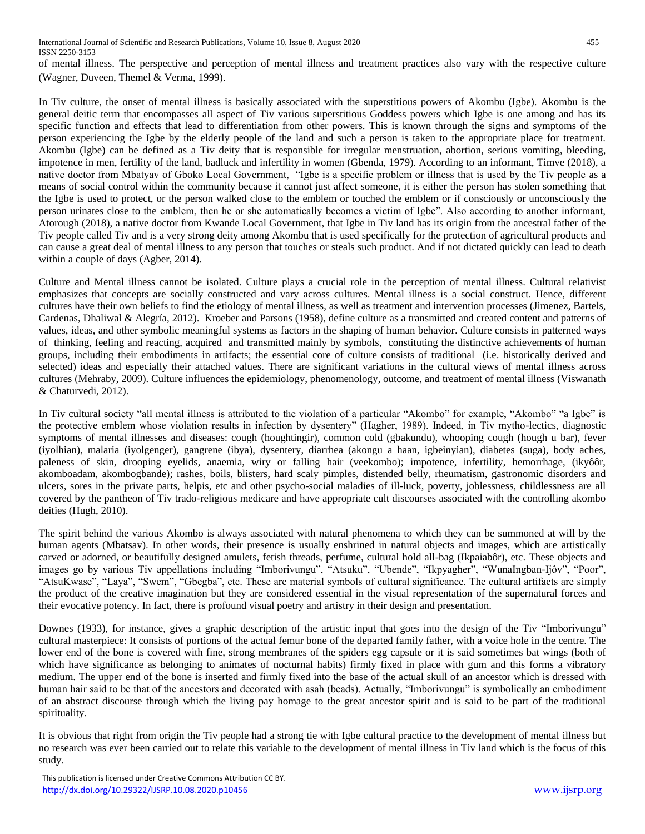of mental illness. The perspective and perception of mental illness and treatment practices also vary with the respective culture (Wagner, Duveen, Themel & Verma, 1999).

In Tiv culture, the onset of mental illness is basically associated with the superstitious powers of Akombu (Igbe). Akombu is the general deitic term that encompasses all aspect of Tiv various superstitious Goddess powers which Igbe is one among and has its specific function and effects that lead to differentiation from other powers. This is known through the signs and symptoms of the person experiencing the Igbe by the elderly people of the land and such a person is taken to the appropriate place for treatment. Akombu (Igbe) can be defined as a Tiv deity that is responsible for irregular menstruation, abortion, serious vomiting, bleeding, impotence in men, fertility of the land, badluck and infertility in women (Gbenda, 1979). According to an informant, Timve (2018), a native doctor from Mbatyav of Gboko Local Government, "Igbe is a specific problem or illness that is used by the Tiv people as a means of social control within the community because it cannot just affect someone, it is either the person has stolen something that the Igbe is used to protect, or the person walked close to the emblem or touched the emblem or if consciously or unconsciously the person urinates close to the emblem, then he or she automatically becomes a victim of Igbe". Also according to another informant, Atorough (2018), a native doctor from Kwande Local Government, that Igbe in Tiv land has its origin from the ancestral father of the Tiv people called Tiv and is a very strong deity among Akombu that is used specifically for the protection of agricultural products and can cause a great deal of mental illness to any person that touches or steals such product. And if not dictated quickly can lead to death within a couple of days (Agber, 2014).

Culture and Mental illness cannot be isolated. Culture plays a crucial role in the perception of mental illness. Cultural relativist emphasizes that concepts are socially constructed and vary across cultures. Mental illness is a social construct. Hence, different cultures have their own beliefs to find the etiology of mental illness, as well as treatment and intervention processes (Jimenez, Bartels, Cardenas, Dhaliwal & Alegría, 2012). Kroeber and Parsons (1958), define culture as a transmitted and created content and patterns of values, ideas, and other symbolic meaningful systems as factors in the shaping of human behavior. Culture consists in patterned ways of thinking, feeling and reacting, acquired and transmitted mainly by symbols, constituting the distinctive achievements of human groups, including their embodiments in artifacts; the essential core of culture consists of traditional (i.e. historically derived and selected) ideas and especially their attached values. There are significant variations in the cultural views of mental illness across cultures (Mehraby, 2009). Culture influences the epidemiology, phenomenology, outcome, and treatment of mental illness (Viswanath & Chaturvedi, 2012).

In Tiv cultural society "all mental illness is attributed to the violation of a particular "Akombo" for example, "Akombo" "a Igbe" is the protective emblem whose violation results in infection by dysentery" (Hagher, 1989). Indeed, in Tiv mytho-lectics, diagnostic symptoms of mental illnesses and diseases: cough (houghtingir), common cold (gbakundu), whooping cough (hough u bar), fever (iyolhian), malaria (iyolgenger), gangrene (ibya), dysentery, diarrhea (akongu a haan, igbeinyian), diabetes (suga), body aches, paleness of skin, drooping eyelids, anaemia, wiry or falling hair (veekombo); impotence, infertility, hemorrhage, (ikyôôr, akomboadam, akombogbande); rashes, boils, blisters, hard scaly pimples, distended belly, rheumatism, gastronomic disorders and ulcers, sores in the private parts, helpis, etc and other psycho-social maladies of ill-luck, poverty, joblessness, childlessness are all covered by the pantheon of Tiv trado-religious medicare and have appropriate cult discourses associated with the controlling akombo deities (Hugh, 2010).

The spirit behind the various Akombo is always associated with natural phenomena to which they can be summoned at will by the human agents (Mbatsav). In other words, their presence is usually enshrined in natural objects and images, which are artistically carved or adorned, or beautifully designed amulets, fetish threads, perfume, cultural hold all-bag (Ikpaiabôr), etc. These objects and images go by various Tiv appellations including "Imborivungu", "Atsuku", "Ubende", "Ikpyagher", "WunaIngban-Ijôv", "Poor", "AtsuKwase", "Laya", "Swem", "Gbegba", etc. These are material symbols of cultural significance. The cultural artifacts are simply the product of the creative imagination but they are considered essential in the visual representation of the supernatural forces and their evocative potency. In fact, there is profound visual poetry and artistry in their design and presentation.

Downes (1933), for instance, gives a graphic description of the artistic input that goes into the design of the Tiv "Imborivungu" cultural masterpiece: It consists of portions of the actual femur bone of the departed family father, with a voice hole in the centre. The lower end of the bone is covered with fine, strong membranes of the spiders egg capsule or it is said sometimes bat wings (both of which have significance as belonging to animates of nocturnal habits) firmly fixed in place with gum and this forms a vibratory medium. The upper end of the bone is inserted and firmly fixed into the base of the actual skull of an ancestor which is dressed with human hair said to be that of the ancestors and decorated with asah (beads). Actually, "Imborivungu" is symbolically an embodiment of an abstract discourse through which the living pay homage to the great ancestor spirit and is said to be part of the traditional spirituality.

It is obvious that right from origin the Tiv people had a strong tie with Igbe cultural practice to the development of mental illness but no research was ever been carried out to relate this variable to the development of mental illness in Tiv land which is the focus of this study.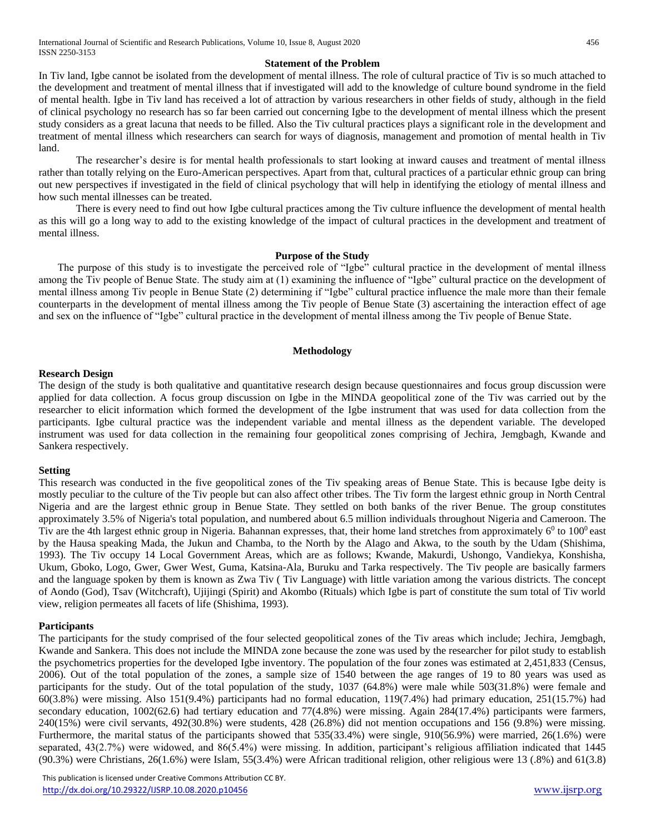#### **Statement of the Problem**

In Tiv land, Igbe cannot be isolated from the development of mental illness. The role of cultural practice of Tiv is so much attached to the development and treatment of mental illness that if investigated will add to the knowledge of culture bound syndrome in the field of mental health. Igbe in Tiv land has received a lot of attraction by various researchers in other fields of study, although in the field of clinical psychology no research has so far been carried out concerning Igbe to the development of mental illness which the present study considers as a great lacuna that needs to be filled. Also the Tiv cultural practices plays a significant role in the development and treatment of mental illness which researchers can search for ways of diagnosis, management and promotion of mental health in Tiv land.

The researcher's desire is for mental health professionals to start looking at inward causes and treatment of mental illness rather than totally relying on the Euro-American perspectives. Apart from that, cultural practices of a particular ethnic group can bring out new perspectives if investigated in the field of clinical psychology that will help in identifying the etiology of mental illness and how such mental illnesses can be treated.

There is every need to find out how Igbe cultural practices among the Tiv culture influence the development of mental health as this will go a long way to add to the existing knowledge of the impact of cultural practices in the development and treatment of mental illness.

#### **Purpose of the Study**

The purpose of this study is to investigate the perceived role of "Igbe" cultural practice in the development of mental illness among the Tiv people of Benue State. The study aim at (1) examining the influence of "Igbe" cultural practice on the development of mental illness among Tiv people in Benue State (2) determining if "Igbe" cultural practice influence the male more than their female counterparts in the development of mental illness among the Tiv people of Benue State (3) ascertaining the interaction effect of age and sex on the influence of "Igbe" cultural practice in the development of mental illness among the Tiv people of Benue State.

#### **Methodology**

#### **Research Design**

The design of the study is both qualitative and quantitative research design because questionnaires and focus group discussion were applied for data collection. A focus group discussion on Igbe in the MINDA geopolitical zone of the Tiv was carried out by the researcher to elicit information which formed the development of the Igbe instrument that was used for data collection from the participants. Igbe cultural practice was the independent variable and mental illness as the dependent variable. The developed instrument was used for data collection in the remaining four geopolitical zones comprising of Jechira, Jemgbagh, Kwande and Sankera respectively.

#### **Setting**

This research was conducted in the five geopolitical zones of the Tiv speaking areas of Benue State. This is because Igbe deity is mostly peculiar to the culture of the Tiv people but can also affect other tribes. The Tiv form the largest ethnic group in North Central Nigeria and are the largest ethnic group in Benue State. They settled on both banks of the river Benue. The group constitutes approximately 3.5% of Nigeria's total population, and numbered about 6.5 million individuals throughout Nigeria and Cameroon. The Tiv are the 4th largest ethnic group in Nigeria. Bahannan expresses, that, their home land stretches from approximately  $6^0$  to  $100^0$  east by the Hausa speaking Mada, the Jukun and Chamba, to the North by the Alago and Akwa, to the south by the Udam (Shishima, 1993). The Tiv occupy 14 Local Government Areas, which are as follows; Kwande, Makurdi, Ushongo, Vandiekya, Konshisha, Ukum, Gboko, Logo, Gwer, Gwer West, Guma, Katsina-Ala, Buruku and Tarka respectively. The Tiv people are basically farmers and the language spoken by them is known as Zwa Tiv ( Tiv Language) with little variation among the various districts. The concept of Aondo (God), Tsav (Witchcraft), Ujijingi (Spirit) and Akombo (Rituals) which Igbe is part of constitute the sum total of Tiv world view, religion permeates all facets of life (Shishima, 1993).

#### **Participants**

The participants for the study comprised of the four selected geopolitical zones of the Tiv areas which include; Jechira, Jemgbagh, Kwande and Sankera. This does not include the MINDA zone because the zone was used by the researcher for pilot study to establish the psychometrics properties for the developed Igbe inventory. The population of the four zones was estimated at 2,451,833 (Census, 2006). Out of the total population of the zones, a sample size of 1540 between the age ranges of 19 to 80 years was used as participants for the study. Out of the total population of the study, 1037 (64.8%) were male while 503(31.8%) were female and 60(3.8%) were missing. Also 151(9.4%) participants had no formal education, 119(7.4%) had primary education, 251(15.7%) had secondary education, 1002(62.6) had tertiary education and 77(4.8%) were missing. Again 284(17.4%) participants were farmers, 240(15%) were civil servants, 492(30.8%) were students, 428 (26.8%) did not mention occupations and 156 (9.8%) were missing. Furthermore, the marital status of the participants showed that 535(33.4%) were single, 910(56.9%) were married, 26(1.6%) were separated, 43(2.7%) were widowed, and 86(5.4%) were missing. In addition, participant's religious affiliation indicated that 1445 (90.3%) were Christians, 26(1.6%) were Islam, 55(3.4%) were African traditional religion, other religious were 13 (.8%) and 61(3.8)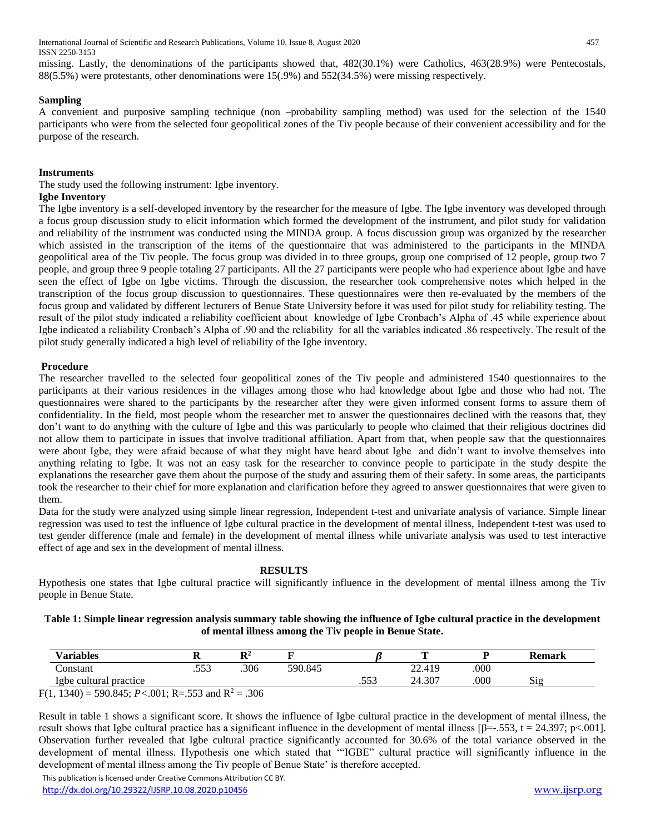International Journal of Scientific and Research Publications, Volume 10, Issue 8, August 2020 457 ISSN 2250-3153

missing. Lastly, the denominations of the participants showed that, 482(30.1%) were Catholics, 463(28.9%) were Pentecostals, 88(5.5%) were protestants, other denominations were 15(.9%) and 552(34.5%) were missing respectively.

#### **Sampling**

A convenient and purposive sampling technique (non –probability sampling method) was used for the selection of the 1540 participants who were from the selected four geopolitical zones of the Tiv people because of their convenient accessibility and for the purpose of the research.

#### **Instruments**

The study used the following instrument: Igbe inventory.

#### **Igbe Inventory**

The Igbe inventory is a self-developed inventory by the researcher for the measure of Igbe. The Igbe inventory was developed through a focus group discussion study to elicit information which formed the development of the instrument, and pilot study for validation and reliability of the instrument was conducted using the MINDA group. A focus discussion group was organized by the researcher which assisted in the transcription of the items of the questionnaire that was administered to the participants in the MINDA geopolitical area of the Tiv people. The focus group was divided in to three groups, group one comprised of 12 people, group two 7 people, and group three 9 people totaling 27 participants. All the 27 participants were people who had experience about Igbe and have seen the effect of Igbe on Igbe victims. Through the discussion, the researcher took comprehensive notes which helped in the transcription of the focus group discussion to questionnaires. These questionnaires were then re-evaluated by the members of the focus group and validated by different lecturers of Benue State University before it was used for pilot study for reliability testing. The result of the pilot study indicated a reliability coefficient about knowledge of Igbe Cronbach's Alpha of .45 while experience about Igbe indicated a reliability Cronbach's Alpha of .90 and the reliability for all the variables indicated .86 respectively. The result of the pilot study generally indicated a high level of reliability of the Igbe inventory.

#### **Procedure**

The researcher travelled to the selected four geopolitical zones of the Tiv people and administered 1540 questionnaires to the participants at their various residences in the villages among those who had knowledge about Igbe and those who had not. The questionnaires were shared to the participants by the researcher after they were given informed consent forms to assure them of confidentiality. In the field, most people whom the researcher met to answer the questionnaires declined with the reasons that, they don't want to do anything with the culture of Igbe and this was particularly to people who claimed that their religious doctrines did not allow them to participate in issues that involve traditional affiliation. Apart from that, when people saw that the questionnaires were about Igbe, they were afraid because of what they might have heard about Igbe and didn't want to involve themselves into anything relating to Igbe. It was not an easy task for the researcher to convince people to participate in the study despite the explanations the researcher gave them about the purpose of the study and assuring them of their safety. In some areas, the participants took the researcher to their chief for more explanation and clarification before they agreed to answer questionnaires that were given to them.

Data for the study were analyzed using simple linear regression, Independent t-test and univariate analysis of variance. Simple linear regression was used to test the influence of Igbe cultural practice in the development of mental illness, Independent t-test was used to test gender difference (male and female) in the development of mental illness while univariate analysis was used to test interactive effect of age and sex in the development of mental illness.

#### **RESULTS**

Hypothesis one states that Igbe cultural practice will significantly influence in the development of mental illness among the Tiv people in Benue State.

#### **Table 1: Simple linear regression analysis summary table showing the influence of Igbe cultural practice in the development of mental illness among the Tiv people in Benue State.**

| <b>Variables</b>       | D <sub>4</sub><br> |         |          |               |      | <b>Remark</b> |
|------------------------|--------------------|---------|----------|---------------|------|---------------|
| Constant               | <br>.306           | 590.845 |          | 22.419        | .000 |               |
| Igbe cultural practice |                    |         | 552<br>. | $.30^-$<br>24 | .000 | $\sim$<br>515 |

F(1, 1340) = 590.845;  $P < .001$ ; R=.553 and R<sup>2</sup> = .306

Result in table 1 shows a significant score. It shows the influence of Igbe cultural practice in the development of mental illness, the result shows that Igbe cultural practice has a significant influence in the development of mental illness  $\beta = -553$ , t = 24.397; p<.001]. Observation further revealed that Igbe cultural practice significantly accounted for 30.6% of the total variance observed in the development of mental illness. Hypothesis one which stated that '"IGBE" cultural practice will significantly influence in the development of mental illness among the Tiv people of Benue State' is therefore accepted.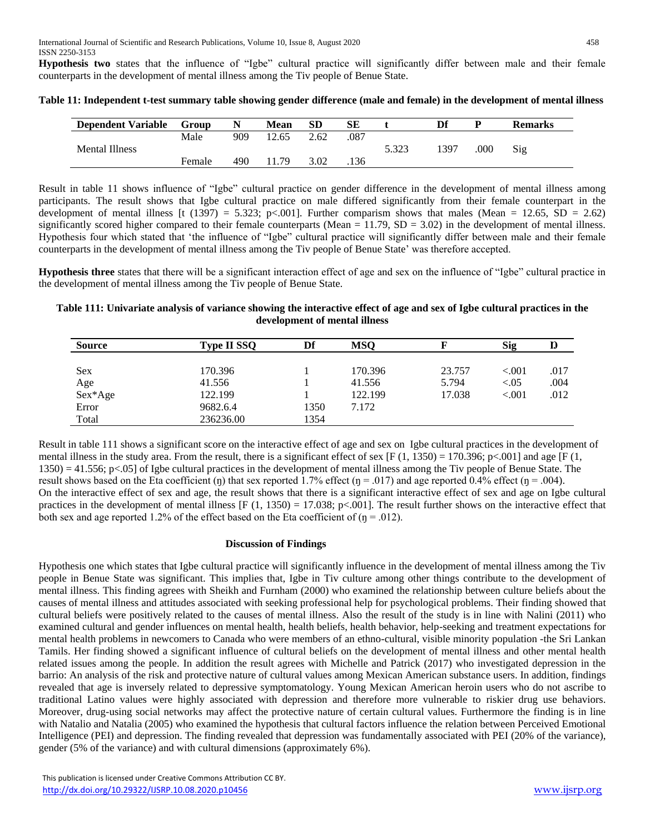**Hypothesis two** states that the influence of "Igbe" cultural practice will significantly differ between male and their female counterparts in the development of mental illness among the Tiv people of Benue State.

| <b>Dependent Variable</b> | Group  |     | Mean  | SD   | SЕ   |       | Df   | D   | <b>Remarks</b> |
|---------------------------|--------|-----|-------|------|------|-------|------|-----|----------------|
|                           | Male   | 909 | 12.65 | 2.62 | .087 |       |      |     |                |
| Mental Illness            |        |     |       |      |      | 5.323 | 1397 | 000 | Sig            |
|                           | Female | 490 | 1.79  | 3.02 | .136 |       |      |     |                |

**Table 11: Independent t-test summary table showing gender difference (male and female) in the development of mental illness**

Result in table 11 shows influence of "Igbe" cultural practice on gender difference in the development of mental illness among participants. The result shows that Igbe cultural practice on male differed significantly from their female counterpart in the development of mental illness [t (1397) = 5.323; p<.001]. Further comparism shows that males (Mean = 12.65, SD = 2.62) significantly scored higher compared to their female counterparts (Mean  $= 11.79$ , SD  $= 3.02$ ) in the development of mental illness. Hypothesis four which stated that 'the influence of "Igbe" cultural practice will significantly differ between male and their female counterparts in the development of mental illness among the Tiv people of Benue State' was therefore accepted.

**Hypothesis three** states that there will be a significant interaction effect of age and sex on the influence of "Igbe" cultural practice in the development of mental illness among the Tiv people of Benue State.

## **Table 111: Univariate analysis of variance showing the interactive effect of age and sex of Igbe cultural practices in the development of mental illness**

| <b>Source</b> | <b>Type II SSQ</b> | Df   | <b>MSQ</b> |        | <b>Sig</b> | Ŋ    |
|---------------|--------------------|------|------------|--------|------------|------|
|               |                    |      |            |        |            |      |
| <b>Sex</b>    | 170.396            |      | 170.396    | 23.757 | < 0.001    | .017 |
| Age           | 41.556             |      | 41.556     | 5.794  | ${<}0.05$  | .004 |
| Sex*Age       | 122.199            |      | 122.199    | 17.038 | ${<}001$   | .012 |
| Error         | 9682.6.4           | 1350 | 7.172      |        |            |      |
| Total         | 236236.00          | 1354 |            |        |            |      |

Result in table 111 shows a significant score on the interactive effect of age and sex on Igbe cultural practices in the development of mental illness in the study area. From the result, there is a significant effect of sex [F (1, 1350) = 170.396; p<.001] and age [F (1, 1350) = 41.556; p<.05] of Igbe cultural practices in the development of mental illness among the Tiv people of Benue State. The result shows based on the Eta coefficient (ŋ) that sex reported 1.7% effect (ŋ = .017) and age reported 0.4% effect (ŋ = .004). On the interactive effect of sex and age, the result shows that there is a significant interactive effect of sex and age on Igbe cultural practices in the development of mental illness  $[F(1, 1350) = 17.038; p<.001]$ . The result further shows on the interactive effect that both sex and age reported 1.2% of the effect based on the Eta coefficient of  $(\eta = .012)$ .

# **Discussion of Findings**

Hypothesis one which states that Igbe cultural practice will significantly influence in the development of mental illness among the Tiv people in Benue State was significant. This implies that, Igbe in Tiv culture among other things contribute to the development of mental illness. This finding agrees with Sheikh and Furnham (2000) who examined the relationship between culture beliefs about the causes of mental illness and attitudes associated with seeking professional help for psychological problems. Their finding showed that cultural beliefs were positively related to the causes of mental illness. Also the result of the study is in line with Nalini (2011) who examined cultural and gender influences on mental health, health beliefs, health behavior, help-seeking and treatment expectations for mental health problems in newcomers to Canada who were members of an ethno-cultural, visible minority population -the Sri Lankan Tamils. Her finding showed a significant influence of cultural beliefs on the development of mental illness and other mental health related issues among the people. In addition the result agrees with Michelle and Patrick (2017) who investigated depression in the barrio: An analysis of the risk and protective nature of cultural values among Mexican American substance users. In addition, findings revealed that age is inversely related to depressive symptomatology. Young Mexican American heroin users who do not ascribe to traditional Latino values were highly associated with depression and therefore more vulnerable to riskier drug use behaviors. Moreover, drug-using social networks may affect the protective nature of certain cultural values. Furthermore the finding is in line with Natalio and Natalia (2005) who examined the hypothesis that cultural factors influence the relation between Perceived Emotional Intelligence (PEI) and depression. The finding revealed that depression was fundamentally associated with PEI (20% of the variance), gender (5% of the variance) and with cultural dimensions (approximately 6%).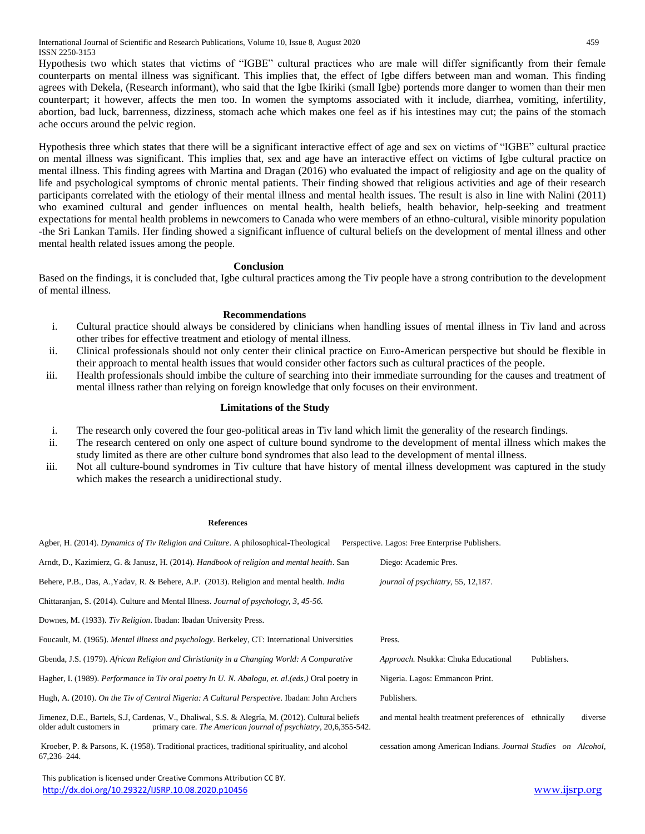International Journal of Scientific and Research Publications, Volume 10, Issue 8, August 2020 459 ISSN 2250-3153

Hypothesis two which states that victims of "IGBE" cultural practices who are male will differ significantly from their female counterparts on mental illness was significant. This implies that, the effect of Igbe differs between man and woman. This finding agrees with Dekela, (Research informant), who said that the Igbe Ikiriki (small Igbe) portends more danger to women than their men counterpart; it however, affects the men too. In women the symptoms associated with it include, diarrhea, vomiting, infertility, abortion, bad luck, barrenness, dizziness, stomach ache which makes one feel as if his intestines may cut; the pains of the stomach ache occurs around the pelvic region.

Hypothesis three which states that there will be a significant interactive effect of age and sex on victims of "IGBE" cultural practice on mental illness was significant. This implies that, sex and age have an interactive effect on victims of Igbe cultural practice on mental illness. This finding agrees with Martina and Dragan (2016) who evaluated the impact of religiosity and age on the quality of life and psychological symptoms of chronic mental patients. Their finding showed that religious activities and age of their research participants correlated with the etiology of their mental illness and mental health issues. The result is also in line with Nalini (2011) who examined cultural and gender influences on mental health, health beliefs, health behavior, help-seeking and treatment expectations for mental health problems in newcomers to Canada who were members of an ethno-cultural, visible minority population -the Sri Lankan Tamils. Her finding showed a significant influence of cultural beliefs on the development of mental illness and other mental health related issues among the people.

#### **Conclusion**

Based on the findings, it is concluded that, Igbe cultural practices among the Tiv people have a strong contribution to the development of mental illness.

#### **Recommendations**

- i. Cultural practice should always be considered by clinicians when handling issues of mental illness in Tiv land and across other tribes for effective treatment and etiology of mental illness.
- ii. Clinical professionals should not only center their clinical practice on Euro-American perspective but should be flexible in their approach to mental health issues that would consider other factors such as cultural practices of the people.
- iii. Health professionals should imbibe the culture of searching into their immediate surrounding for the causes and treatment of mental illness rather than relying on foreign knowledge that only focuses on their environment.

#### **Limitations of the Study**

- i. The research only covered the four geo-political areas in Tiv land which limit the generality of the research findings.
- ii. The research centered on only one aspect of culture bound syndrome to the development of mental illness which makes the study limited as there are other culture bond syndromes that also lead to the development of mental illness.
- iii. Not all culture-bound syndromes in Tiv culture that have history of mental illness development was captured in the study which makes the research a unidirectional study.

#### **References**

Agber, H. (2014). *Dynamics of Tiv Religion and Culture*. A philosophical-Theological Perspective. Lagos: Free Enterprise Publishers.

| Diego: Academic Pres.                                            |
|------------------------------------------------------------------|
| journal of psychiatry, 55, 12,187.                               |
|                                                                  |
|                                                                  |
| Press.                                                           |
| Approach. Nsukka: Chuka Educational<br>Publishers.               |
| Nigeria. Lagos: Emmancon Print.                                  |
| Publishers.                                                      |
| diverse<br>and mental health treatment preferences of ethnically |
| cessation among American Indians. Journal Studies on Alcohol,    |
|                                                                  |

 This publication is licensed under Creative Commons Attribution CC BY. <http://dx.doi.org/10.29322/IJSRP.10.08.2020.p10456> [www.ijsrp.org](http://ijsrp.org/)